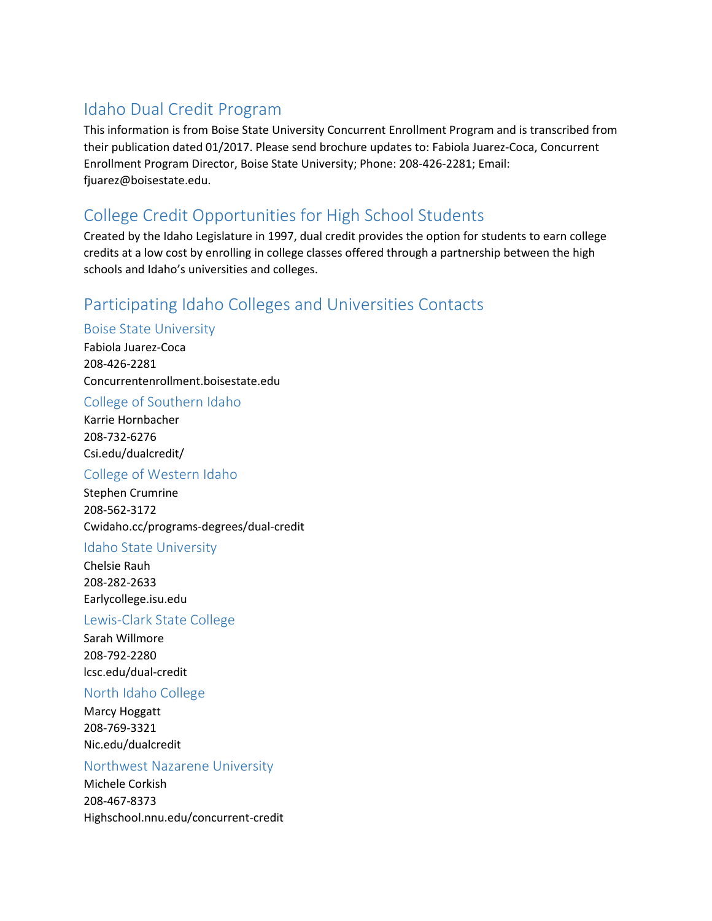# Idaho Dual Credit Program

This information is from Boise State University Concurrent Enrollment Program and is transcribed from their publication dated 01/2017. Please send brochure updates to: Fabiola Juarez-Coca, Concurrent Enrollment Program Director, Boise State University; Phone: 208-426-2281; Email: fiuarez@boisestate.edu.

# College Credit Opportunities for High School Students

Created by the Idaho Legislature in 1997, dual credit provides the option for students to earn college credits at a low cost by enrolling in college classes offered through a partnership between the high schools and Idaho's universities and colleges.

## Participating Idaho Colleges and Universities Contacts

### Boise State University

Fabiola Juarez-Coca 208-426-2281 Concurrentenrollment.boisestate.edu

College of Southern Idaho

Karrie Hornbacher 208-732-6276 Csi.edu/dualcredit/

### College of Western Idaho

Stephen Crumrine 208-562-3172 Cwidaho.cc/programs-degrees/dual-credit

#### Idaho State University

Chelsie Rauh 208-282-2633 Earlycollege.isu.edu

#### Lewis-Clark State College

Sarah Willmore 208-792-2280 lcsc.edu/dual-credit

#### North Idaho College

Marcy Hoggatt 208-769-3321 Nic.edu/dualcredit

#### Northwest Nazarene University

Michele Corkish 208-467-8373 Highschool.nnu.edu/concurrent-credit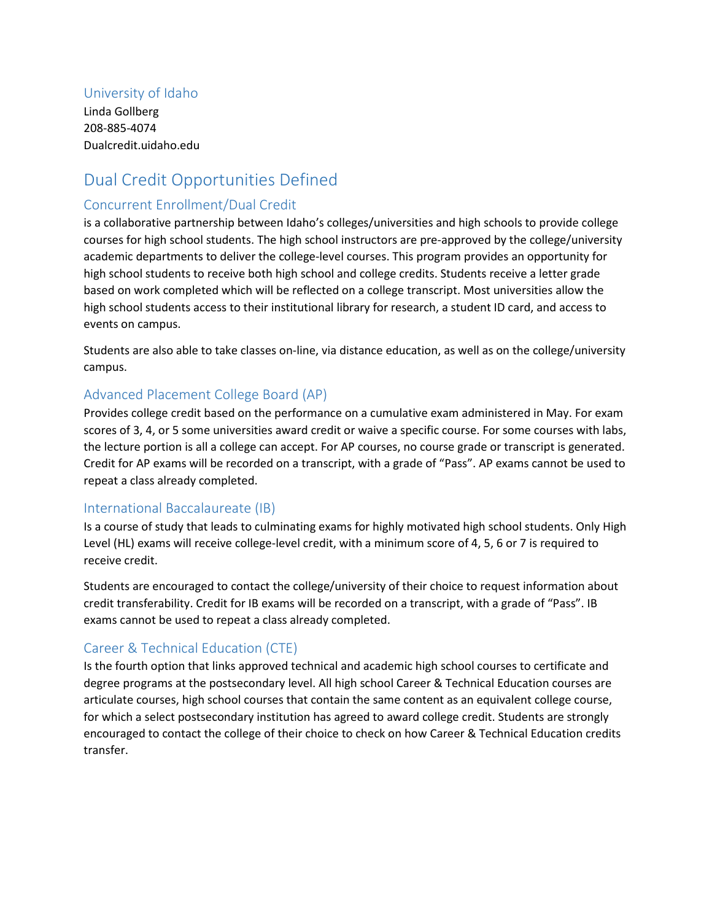### University of Idaho

Linda Gollberg 208-885-4074 Dualcredit.uidaho.edu

# Dual Credit Opportunities Defined

#### Concurrent Enrollment/Dual Credit

is a collaborative partnership between Idaho's colleges/universities and high schools to provide college courses for high school students. The high school instructors are pre-approved by the college/university academic departments to deliver the college-level courses. This program provides an opportunity for high school students to receive both high school and college credits. Students receive a letter grade based on work completed which will be reflected on a college transcript. Most universities allow the high school students access to their institutional library for research, a student ID card, and access to events on campus.

Students are also able to take classes on-line, via distance education, as well as on the college/university campus.

#### Advanced Placement College Board (AP)

Provides college credit based on the performance on a cumulative exam administered in May. For exam scores of 3, 4, or 5 some universities award credit or waive a specific course. For some courses with labs, the lecture portion is all a college can accept. For AP courses, no course grade or transcript is generated. Credit for AP exams will be recorded on a transcript, with a grade of "Pass". AP exams cannot be used to repeat a class already completed.

#### International Baccalaureate (IB)

Is a course of study that leads to culminating exams for highly motivated high school students. Only High Level (HL) exams will receive college-level credit, with a minimum score of 4, 5, 6 or 7 is required to receive credit.

Students are encouraged to contact the college/university of their choice to request information about credit transferability. Credit for IB exams will be recorded on a transcript, with a grade of "Pass". IB exams cannot be used to repeat a class already completed.

### Career & Technical Education (CTE)

Is the fourth option that links approved technical and academic high school courses to certificate and degree programs at the postsecondary level. All high school Career & Technical Education courses are articulate courses, high school courses that contain the same content as an equivalent college course, for which a select postsecondary institution has agreed to award college credit. Students are strongly encouraged to contact the college of their choice to check on how Career & Technical Education credits transfer.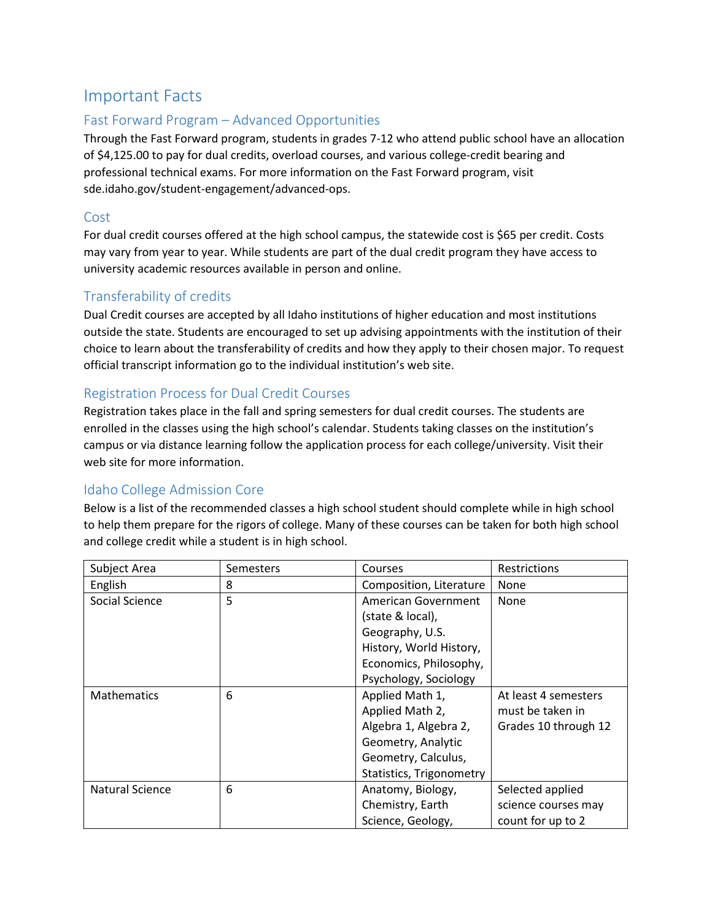## Important Facts

### Fast Forward Program – Advanced Opportunities

Through the Fast Forward program, students in grades 7-12 who attend public school have an allocation of \$4,125.00 to pay for dual credits, overload courses, and various college-credit bearing and professional technical exams. For more information on the Fast Forward program, visit sde.idaho.gov/student-engagement/advanced-ops.

#### Cost

For dual credit courses offered at the high school campus, the statewide cost is \$65 per credit. Costs may vary from year to year. While students are part of the dual credit program they have access to university academic resources available in person and online.

## Transferability of credits

Dual Credit courses are accepted by all Idaho institutions of higher education and most institutions outside the state. Students are encouraged to set up advising appointments with the institution of their choice to learn about the transferability of credits and how they apply to their chosen major. To request official transcript information go to the individual institution's web site.

## Registration Process for Dual Credit Courses

Registration takes place in the fall and spring semesters for dual credit courses. The students are enrolled in the classes using the high school's calendar. Students taking classes on the institution's campus or via distance learning follow the application process for each college/university. Visit their web site for more information.

### Idaho College Admission Core

Below is a list of the recommended classes a high school student should complete while in high school to help them prepare for the rigors of college. Many of these courses can be taken for both high school and college credit while a student is in high school.

| Subject Area           | Semesters | Courses                  | Restrictions         |
|------------------------|-----------|--------------------------|----------------------|
| English                | 8         | Composition, Literature  | None                 |
| Social Science         | 5         | American Government      | None                 |
|                        |           | (state & local),         |                      |
|                        |           | Geography, U.S.          |                      |
|                        |           | History, World History,  |                      |
|                        |           | Economics, Philosophy,   |                      |
|                        |           | Psychology, Sociology    |                      |
| <b>Mathematics</b>     | 6         | Applied Math 1,          | At least 4 semesters |
|                        |           | Applied Math 2,          | must be taken in     |
|                        |           | Algebra 1, Algebra 2,    | Grades 10 through 12 |
|                        |           | Geometry, Analytic       |                      |
|                        |           | Geometry, Calculus,      |                      |
|                        |           | Statistics, Trigonometry |                      |
| <b>Natural Science</b> | 6         | Anatomy, Biology,        | Selected applied     |
|                        |           | Chemistry, Earth         | science courses may  |
|                        |           | Science, Geology,        | count for up to 2    |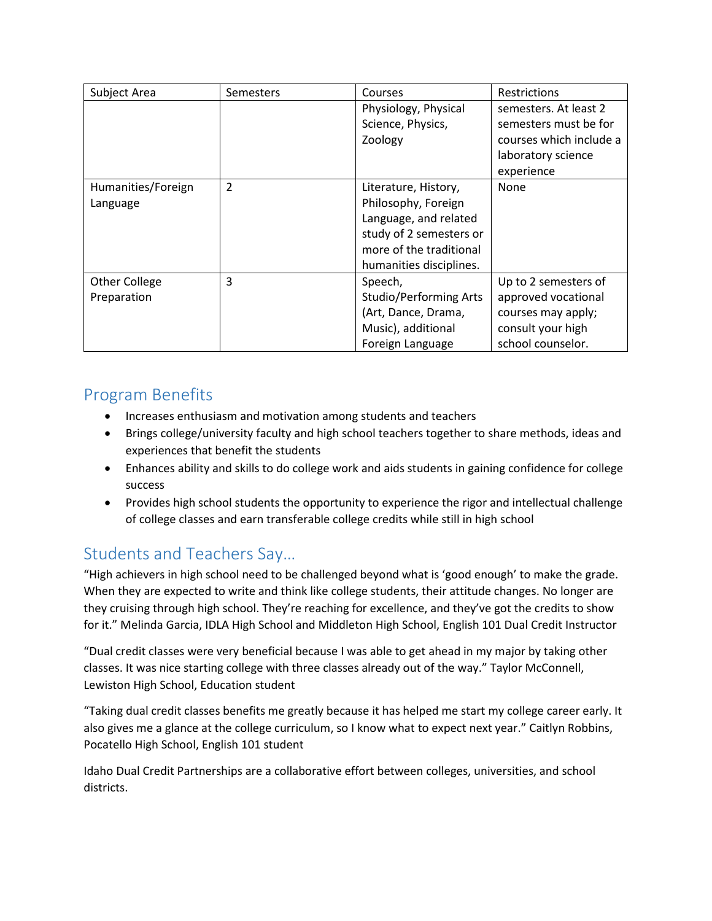| Subject Area         | Semesters     | Courses                       | <b>Restrictions</b>     |
|----------------------|---------------|-------------------------------|-------------------------|
|                      |               | Physiology, Physical          | semesters. At least 2   |
|                      |               | Science, Physics,             | semesters must be for   |
|                      |               | Zoology                       | courses which include a |
|                      |               |                               | laboratory science      |
|                      |               |                               | experience              |
| Humanities/Foreign   | $\mathcal{P}$ | Literature, History,          | None                    |
| Language             |               | Philosophy, Foreign           |                         |
|                      |               | Language, and related         |                         |
|                      |               | study of 2 semesters or       |                         |
|                      |               | more of the traditional       |                         |
|                      |               | humanities disciplines.       |                         |
| <b>Other College</b> | 3             | Speech,                       | Up to 2 semesters of    |
| Preparation          |               | <b>Studio/Performing Arts</b> | approved vocational     |
|                      |               | (Art, Dance, Drama,           | courses may apply;      |
|                      |               | Music), additional            | consult your high       |
|                      |               | Foreign Language              | school counselor.       |

# Program Benefits

- Increases enthusiasm and motivation among students and teachers
- Brings college/university faculty and high school teachers together to share methods, ideas and experiences that benefit the students
- Enhances ability and skills to do college work and aids students in gaining confidence for college success
- Provides high school students the opportunity to experience the rigor and intellectual challenge of college classes and earn transferable college credits while still in high school

# Students and Teachers Say…

"High achievers in high school need to be challenged beyond what is 'good enough' to make the grade. When they are expected to write and think like college students, their attitude changes. No longer are they cruising through high school. They're reaching for excellence, and they've got the credits to show for it." Melinda Garcia, IDLA High School and Middleton High School, English 101 Dual Credit Instructor

"Dual credit classes were very beneficial because I was able to get ahead in my major by taking other classes. It was nice starting college with three classes already out of the way." Taylor McConnell, Lewiston High School, Education student

"Taking dual credit classes benefits me greatly because it has helped me start my college career early. It also gives me a glance at the college curriculum, so I know what to expect next year." Caitlyn Robbins, Pocatello High School, English 101 student

Idaho Dual Credit Partnerships are a collaborative effort between colleges, universities, and school districts.